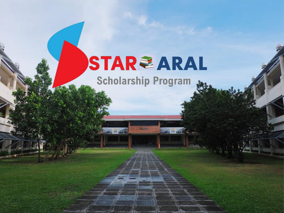### **STAR<sup>&</sup> ARAL Scholarship Program**

steen.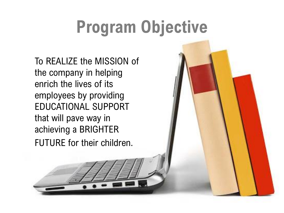## **Program Objective**

To REALIZE the MISSION of the company in helping enrich the lives of its employees by providing EDUCATIONAL SUPPORT that will pave way in achieving a BRIGHTER FUTURE for their children.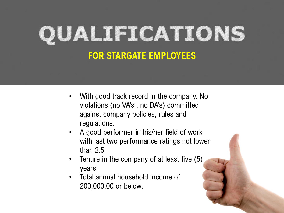### QUALIFICATIONS **FOR STARGATE EMPLOYEES**

- With good track record in the company. No violations (no VA's , no DA's) committed against company policies, rules and regulations.
- A good performer in his/her field of work with last two performance ratings not lower than 2.5
- Tenure in the company of at least five (5) years
- Total annual household income of 200,000.00 or below.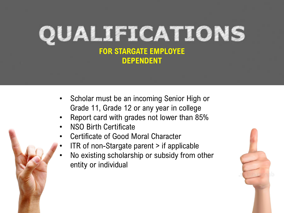#### QUALIFICATIONS **FOR STARGATE EMPLOYEE DEPENDENT**

- Scholar must be an incoming Senior High or Grade 11, Grade 12 or any year in college
- Report card with grades not lower than 85%
- NSO Birth Certificate
- Certificate of Good Moral Character
- ITR of non-Stargate parent > if applicable
- No existing scholarship or subsidy from other entity or individual

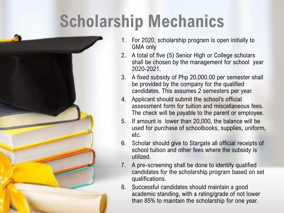### **Scholarship Mechanics**



- 1. For 2020, scholarship program is open initially to GMA only
- 2. A total of five (5) Senior High or College scholars shall be chosen by the management for school year 2020-2021.
- 3. A fixed subsidy of Php 20,000.00 per semester shall be provided by the company for the qualified candidates. This assumes 2 semesters per year.
- 4. Applicant should submit the school's official assessment form for tuition and miscellaneous fees. The check will be payable to the parent or employee.
- 5. If amount is lower than 20,000, the balance will be used for purchase of schoolbooks, supplies, uniform, etc.
- 6. Scholar should give to Stargate all official receipts of school tuition and other fees where the subsidy is utilized.
- 7. A pre-screening shall be done to identify qualified candidates for the scholarship program based on set qualifications.
- 8. Successful candidates should maintain a good academic standing, with a rating/grade of not lower than 85% to maintain the scholarship for one year.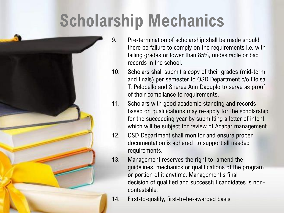### **Scholarship Mechanics**

- - 9. Pre-termination of scholarship shall be made should there be failure to comply on the requirements i.e. with failing grades or lower than 85%, undesirable or bad records in the school.
	- 10. Scholars shall submit a copy of their grades (mid-term and finals) per semester to OSD Department c/o Eloisa T. Pelobello and Sheree Ann Daguplo to serve as proof of their compliance to requirements.
	- 11. Scholars with good academic standing and records based on qualifications may re-apply for the scholarship for the succeeding year by submitting a letter of intent which will be subject for review of Acabar management.
	- 12. OSD Department shall monitor and ensure proper documentation is adhered to support all needed requirements.
	- 13. Management reserves the right to amend the guidelines, mechanics or qualifications of the program or portion of it anytime. Management's final decision of qualified and successful candidates is noncontestable.
	- 14. First-to-qualify, first-to-be-awarded basis